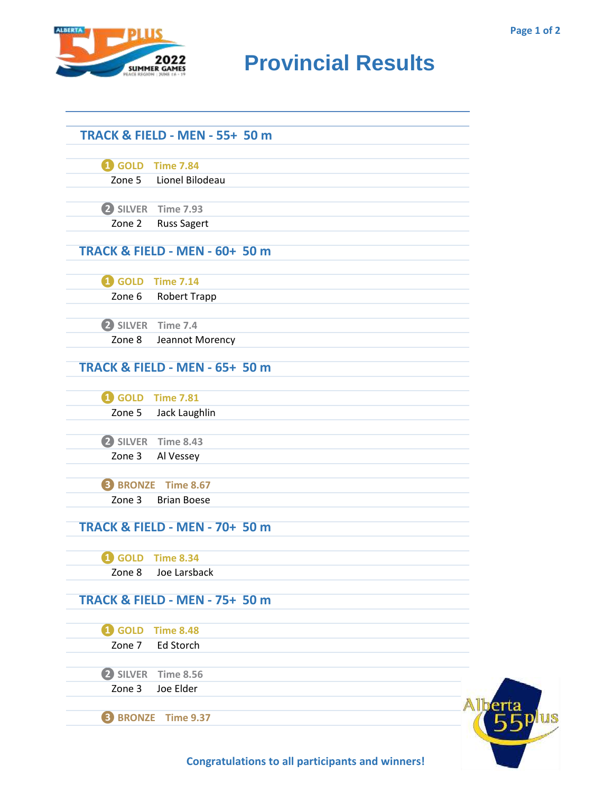

## **RUNARIES ANISTS Provincial Results**

|                   | <b>TRACK &amp; FIELD - MEN - 55+ 50 m</b> |  |
|-------------------|-------------------------------------------|--|
|                   |                                           |  |
|                   | GOLD Time 7.84                            |  |
|                   | Zone 5 Lionel Bilodeau                    |  |
|                   | 2 SILVER Time 7.93                        |  |
| Zone 2            | <b>Russ Sagert</b>                        |  |
|                   | TRACK & FIELD - MEN - 60+ 50 m            |  |
|                   | <b>1</b> GOLD Time 7.14                   |  |
| Zone 6            | <b>Robert Trapp</b>                       |  |
|                   |                                           |  |
| 2 SILVER Time 7.4 |                                           |  |
| Zone 8            | Jeannot Morency                           |  |
|                   | <b>TRACK &amp; FIELD - MEN - 65+ 50 m</b> |  |
|                   | <b>1</b> GOLD Time 7.81                   |  |
| Zone 5            | Jack Laughlin                             |  |
|                   | 2 SILVER Time 8.43                        |  |
| Zone 3            | Al Vessey                                 |  |
|                   | <b>B</b> BRONZE Time 8.67                 |  |
| Zone 3            | <b>Brian Boese</b>                        |  |
|                   |                                           |  |
|                   | <b>TRACK &amp; FIELD - MEN - 70+ 50 m</b> |  |
|                   | <b>1</b> GOLD Time 8.34                   |  |
| Zone 8            | Joe Larsback                              |  |
|                   | <b>TRACK &amp; FIELD - MEN - 75+ 50 m</b> |  |
|                   | 4 GOLD Time 8.48                          |  |
| Zone 7            | Ed Storch                                 |  |
|                   |                                           |  |
| 2 SILVER          | <b>Time 8.56</b>                          |  |
| Zone 3            | Joe Elder                                 |  |
|                   | <b>B</b> BRONZE Time 9.37                 |  |
|                   |                                           |  |